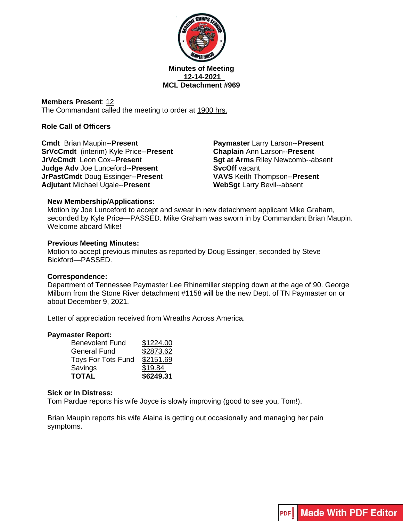

### **Minutes of Meeting 12-14-2021 MCL Detachment #969**

**Members Present**: 12 The Commandant called the meeting to order at 1900 hrs.

## **Role Call of Officers**

**Cmdt** Brian Maupin--**Present SrVcCmdt** (interim) Kyle Price--**Present JrVcCmdt** Leon Cox--**Presen**t **Judge Adv** Joe Lunceford--**Present JrPastCmdt** Doug Essinger--**Presen**t **Adjutant** Michael Ugale--**Present**

**Paymaster** Larry Larson--**Present Chaplain** Ann Larson--**Present Sgt at Arms** Riley Newcomb--absent **SvcOff** vacant **VAVS** Keith Thompson--**Present WebSgt** Larry Bevil--absent

### **New Membership/Applications:**

Motion by Joe Lunceford to accept and swear in new detachment applicant Mike Graham, seconded by Kyle Price—PASSED. Mike Graham was sworn in by Commandant Brian Maupin. Welcome aboard Mike!

### **Previous Meeting Minutes:**

Motion to accept previous minutes as reported by Doug Essinger, seconded by Steve Bickford—PASSED.

### **Correspondence:**

Department of Tennessee Paymaster Lee Rhinemiller stepping down at the age of 90. George Milburn from the Stone River detachment #1158 will be the new Dept. of TN Paymaster on or about December 9, 2021.

Letter of appreciation received from Wreaths Across America.

### **Paymaster Report:**

| <b>TOTAL</b>              | \$6249.31 |
|---------------------------|-----------|
| Savings                   | \$19.84   |
| <b>Toys For Tots Fund</b> | \$2151.69 |
| <b>General Fund</b>       | \$2873.62 |
| <b>Benevolent Fund</b>    | \$1224.00 |

### **Sick or In Distress:**

Tom Pardue reports his wife Joyce is slowly improving (good to see you, Tom!).

Brian Maupin reports his wife Alaina is getting out occasionally and managing her pain symptoms.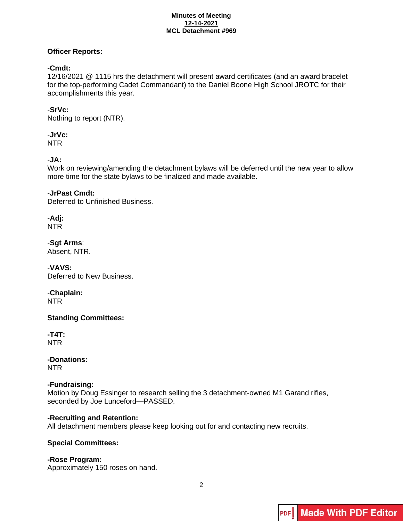#### **Minutes of Meeting 12-14-2021 MCL Detachment #969**

## **Officer Reports:**

## -**Cmdt:**

12/16/2021 @ 1115 hrs the detachment will present award certificates (and an award bracelet for the top-performing Cadet Commandant) to the Daniel Boone High School JROTC for their accomplishments this year.

## -**SrVc:**

Nothing to report (NTR).

# -**JrVc:**

NTR

## -**JA:**

Work on reviewing/amending the detachment bylaws will be deferred until the new year to allow more time for the state bylaws to be finalized and made available.

## -**JrPast Cmdt:**

Deferred to Unfinished Business.

#### -**Adj:** NTR

-**Sgt Arms**: Absent, NTR.

-**VAVS:** Deferred to New Business.

-**Chaplain:** NTR

**Standing Committees:**

**-T4T:**  NTR

**-Donations:** NTR

## **-Fundraising:**

Motion by Doug Essinger to research selling the 3 detachment-owned M1 Garand rifles, seconded by Joe Lunceford—PASSED.

## **-Recruiting and Retention:**

All detachment members please keep looking out for and contacting new recruits.

## **Special Committees:**

## **-Rose Program:**

Approximately 150 roses on hand.